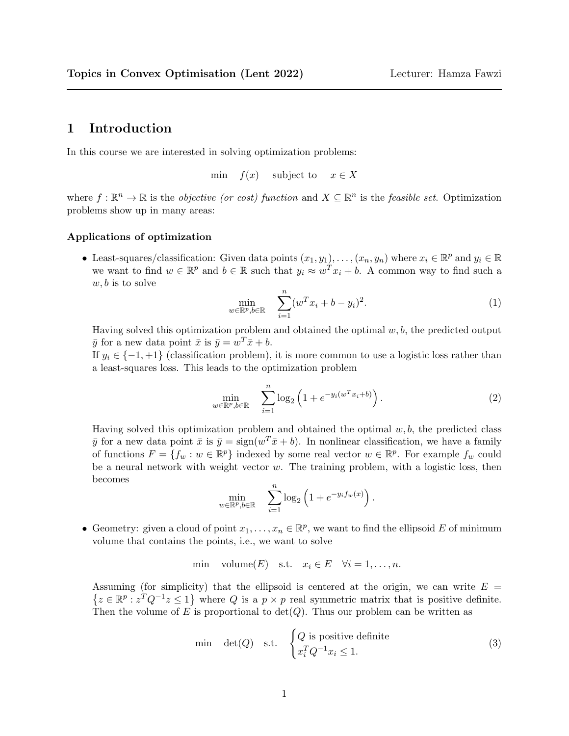## 1 Introduction

In this course we are interested in solving optimization problems:

min  $f(x)$  subject to  $x \in X$ 

where  $f: \mathbb{R}^n \to \mathbb{R}$  is the *objective (or cost)* function and  $X \subseteq \mathbb{R}^n$  is the *feasible set*. Optimization problems show up in many areas:

## Applications of optimization

• Least-squares/classification: Given data points  $(x_1, y_1), \ldots, (x_n, y_n)$  where  $x_i \in \mathbb{R}^p$  and  $y_i \in \mathbb{R}$ we want to find  $w \in \mathbb{R}^p$  and  $b \in \mathbb{R}$  such that  $y_i \approx w^T x_i + b$ . A common way to find such a  $w, b$  is to solve

$$
\min_{w \in \mathbb{R}^p, b \in \mathbb{R}} \quad \sum_{i=1}^n (w^T x_i + b - y_i)^2.
$$
 (1)

Having solved this optimization problem and obtained the optimal  $w, b$ , the predicted output  $\bar{y}$  for a new data point  $\bar{x}$  is  $\bar{y} = w^T \bar{x} + b$ .

If  $y_i \in \{-1, +1\}$  (classification problem), it is more common to use a logistic loss rather than a least-squares loss. This leads to the optimization problem

<span id="page-0-0"></span>
$$
\min_{w \in \mathbb{R}^p, b \in \mathbb{R}} \quad \sum_{i=1}^n \log_2 \left( 1 + e^{-y_i(w^T x_i + b)} \right). \tag{2}
$$

Having solved this optimization problem and obtained the optimal  $w, b$ , the predicted class  $\bar{y}$  for a new data point  $\bar{x}$  is  $\bar{y} = \text{sign}(w^T \bar{x} + b)$ . In nonlinear classification, we have a family of functions  $F = \{f_w : w \in \mathbb{R}^p\}$  indexed by some real vector  $w \in \mathbb{R}^p$ . For example  $f_w$  could be a neural network with weight vector  $w$ . The training problem, with a logistic loss, then becomes

$$
\min_{w \in \mathbb{R}^p, b \in \mathbb{R}} \quad \sum_{i=1}^n \log_2 \left( 1 + e^{-y_i f_w(x)} \right).
$$

• Geometry: given a cloud of point  $x_1, \ldots, x_n \in \mathbb{R}^p$ , we want to find the ellipsoid E of minimum volume that contains the points, i.e., we want to solve

$$
\min \quad \text{volume}(E) \quad \text{s.t.} \quad x_i \in E \quad \forall i = 1, \dots, n.
$$

Assuming (for simplicity) that the ellipsoid is centered at the origin, we can write  $E =$  $\{z \in \mathbb{R}^p : z^T Q^{-1} z \leq 1\}$  where Q is a  $p \times p$  real symmetric matrix that is positive definite. Then the volume of E is proportional to  $\det(Q)$ . Thus our problem can be written as

<span id="page-0-1"></span>
$$
\begin{array}{ll}\text{min} & \det(Q) \quad \text{s.t.} \quad \begin{cases} Q \text{ is positive definite} \\ x_i^T Q^{-1} x_i \le 1. \end{cases} \end{array} \tag{3}
$$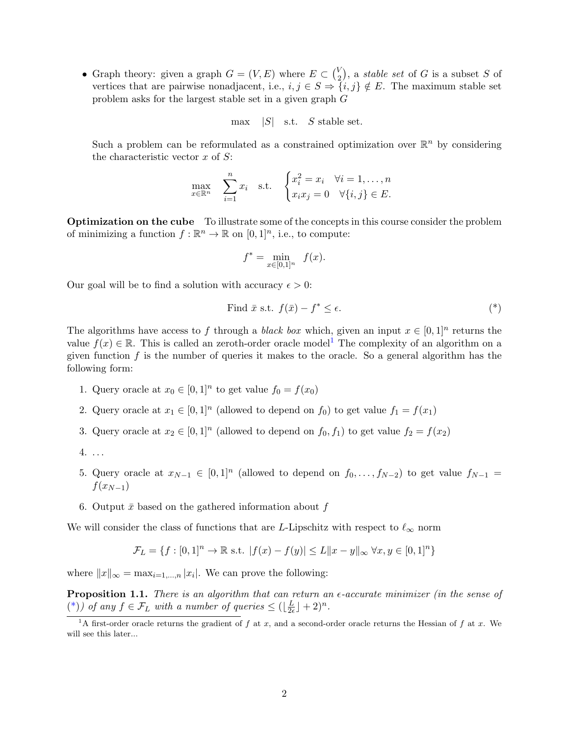• Graph theory: given a graph  $G = (V, E)$  where  $E \subset {V \choose 2}$  $\binom{V}{2}$ , a *stable set* of G is a subset S of vertices that are pairwise nonadjacent, i.e.,  $i, j \in S \Rightarrow \{i, j\} \notin E$ . The maximum stable set problem asks for the largest stable set in a given graph G

$$
\max \quad |S| \quad \text{s.t.} \quad S \text{ stable set.}
$$

Such a problem can be reformulated as a constrained optimization over  $\mathbb{R}^n$  by considering the characteristic vector  $x$  of  $S$ :

$$
\max_{x \in \mathbb{R}^n} \quad \sum_{i=1}^n x_i \quad \text{s.t.} \quad \begin{cases} x_i^2 = x_i & \forall i = 1, \dots, n \\ x_i x_j = 0 & \forall \{i, j\} \in E. \end{cases}
$$

Optimization on the cube To illustrate some of the concepts in this course consider the problem of minimizing a function  $f : \mathbb{R}^n \to \mathbb{R}$  on  $[0, 1]^n$ , i.e., to compute:

<span id="page-1-1"></span>
$$
f^* = \min_{x \in [0,1]^n} f(x).
$$

Our goal will be to find a solution with accuracy  $\epsilon > 0$ :

Find 
$$
\bar{x}
$$
 s.t.  $f(\bar{x}) - f^* \le \epsilon$ . (\*)

The algorithms have access to f through a *black box* which, given an input  $x \in [0,1]^n$  returns the value  $f(x) \in \mathbb{R}$ . This is called an zeroth-order oracle model<sup>[1](#page-1-0)</sup> The complexity of an algorithm on a given function  $f$  is the number of queries it makes to the oracle. So a general algorithm has the following form:

- 1. Query oracle at  $x_0 \in [0,1]^n$  to get value  $f_0 = f(x_0)$
- 2. Query oracle at  $x_1 \in [0,1]^n$  (allowed to depend on  $f_0$ ) to get value  $f_1 = f(x_1)$
- 3. Query oracle at  $x_2 \in [0,1]^n$  (allowed to depend on  $f_0, f_1$ ) to get value  $f_2 = f(x_2)$
- 4. . . .
- 5. Query oracle at  $x_{N-1} \in [0,1]^n$  (allowed to depend on  $f_0, \ldots, f_{N-2}$ ) to get value  $f_{N-1} =$  $f(x_{N-1})$
- 6. Output  $\bar{x}$  based on the gathered information about f

We will consider the class of functions that are L-Lipschitz with respect to  $\ell_{\infty}$  norm

$$
\mathcal{F}_L = \{ f : [0,1]^n \to \mathbb{R} \text{ s.t. } |f(x) - f(y)| \le L \|x - y\|_{\infty} \forall x, y \in [0,1]^n \}
$$

where  $||x||_{\infty} = \max_{i=1,\dots,n} |x_i|$ . We can prove the following:

**Proposition 1.1.** There is an algorithm that can return an  $\epsilon$ -accurate minimizer (in the sense of [\(\\*\)](#page-1-1)) of any  $f \in \mathcal{F}_L$  with a number of queries  $\leq (\lfloor \frac{L}{2e} \rfloor)$  $\frac{L}{2\epsilon}$  | + 2)<sup>n</sup>.

<span id="page-1-0"></span><sup>&</sup>lt;sup>1</sup>A first-order oracle returns the gradient of f at x, and a second-order oracle returns the Hessian of f at x. We will see this later...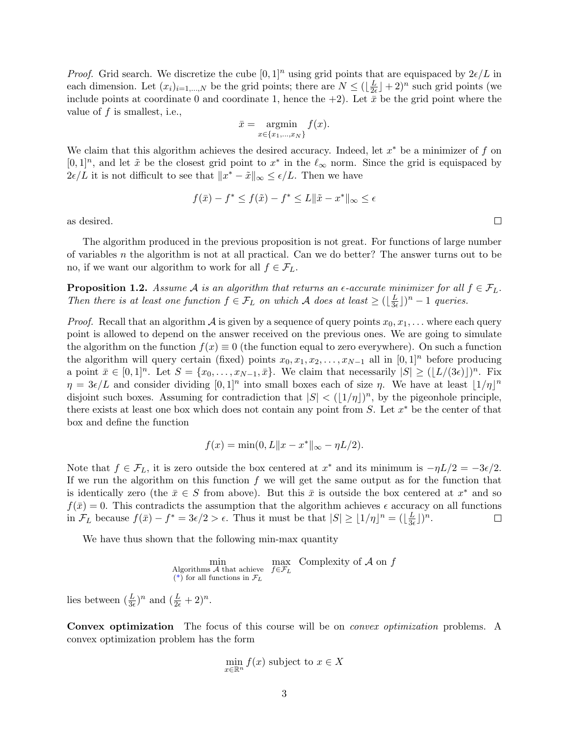*Proof.* Grid search. We discretize the cube  $[0, 1]^n$  using grid points that are equispaced by  $2\epsilon/L$  in each dimension. Let  $(x_i)_{i=1,\dots,N}$  be the grid points; there are  $N \leq (\lfloor \frac{L}{2e} \rfloor)$  $\frac{L}{2\epsilon}$   $\rfloor$  + 2)<sup>n</sup> such grid points (we include points at coordinate 0 and coordinate 1, hence the  $+2$ ). Let  $\bar{x}$  be the grid point where the value of  $f$  is smallest, i.e.,

$$
\bar{x} = \operatorname*{argmin}_{x \in \{x_1, \dots, x_N\}} f(x).
$$

We claim that this algorithm achieves the desired accuracy. Indeed, let  $x^*$  be a minimizer of f on  $[0,1]^n$ , and let  $\tilde{x}$  be the closest grid point to  $x^*$  in the  $\ell_{\infty}$  norm. Since the grid is equispaced by  $2\epsilon/L$  it is not difficult to see that  $||x^* - \tilde{x}||_{\infty} \leq \epsilon/L$ . Then we have

$$
f(\bar{x}) - f^* \le f(\tilde{x}) - f^* \le L \|\tilde{x} - x^*\|_{\infty} \le \epsilon
$$

as desired.

The algorithm produced in the previous proposition is not great. For functions of large number of variables n the algorithm is not at all practical. Can we do better? The answer turns out to be no, if we want our algorithm to work for all  $f \in \mathcal{F}_L$ .

**Proposition 1.2.** Assume A is an algorithm that returns an  $\epsilon$ -accurate minimizer for all  $f \in \mathcal{F}_L$ . Then there is at least one function  $f \in \mathcal{F}_L$  on which A does at least  $\geq (\frac{L}{3e})^2$  $(\frac{L}{3\epsilon})^n-1$  queries.

*Proof.* Recall that an algorithm  $\mathcal A$  is given by a sequence of query points  $x_0, x_1, \ldots$  where each query point is allowed to depend on the answer received on the previous ones. We are going to simulate the algorithm on the function  $f(x) \equiv 0$  (the function equal to zero everywhere). On such a function the algorithm will query certain (fixed) points  $x_0, x_1, x_2, \ldots, x_{N-1}$  all in [0, 1]<sup>n</sup> before producing a point  $\bar{x} \in [0,1]^n$ . Let  $S = \{x_0, \ldots, x_{N-1}, \bar{x}\}$ . We claim that necessarily  $|S| \geq (\lfloor L/(3\epsilon) \rfloor)^n$ . Fix  $\eta = 3\epsilon/L$  and consider dividing  $[0,1]^n$  into small boxes each of size  $\eta$ . We have at least  $(1/\eta)^n$ disjoint such boxes. Assuming for contradiction that  $|S| < (|1/\eta|)^n$ , by the pigeonhole principle, there exists at least one box which does not contain any point from  $S$ . Let  $x^*$  be the center of that box and define the function

$$
f(x) = \min(0, L \|x - x^*\|_{\infty} - \eta L/2).
$$

Note that  $f \in \mathcal{F}_L$ , it is zero outside the box centered at  $x^*$  and its minimum is  $-\eta L/2 = -3\epsilon/2$ . If we run the algorithm on this function  $f$  we will get the same output as for the function that is identically zero (the  $\bar{x} \in S$  from above). But this  $\bar{x}$  is outside the box centered at  $x^*$  and so  $f(\bar{x}) = 0$ . This contradicts the assumption that the algorithm achieves  $\epsilon$  accuracy on all functions in  $\mathcal{F}_L$  because  $f(\bar{x}) - f^* = 3\epsilon/2 > \epsilon$ . Thus it must be that  $|S| \geq \lfloor 1/\eta \rfloor^n = (\lfloor \frac{L}{3\epsilon} \rfloor)^n$  $\frac{L}{3\epsilon}\rfloor)^n.$  $\Box$ 

We have thus shown that the following min-max quantity

$$
\min_{\substack{\text{Algorithms } A \text{ that achieve} \\ (\ast) \text{ for all functions in } \mathcal{F}_L}} \max_{f \in \mathcal{F}_L} \text{Complexity of } A \text{ on } f
$$

lies between  $(\frac{L}{3\epsilon})^n$  and  $(\frac{L}{2\epsilon}+2)^n$ .

Convex optimization The focus of this course will be on *convex optimization* problems. A convex optimization problem has the form

$$
\min_{x \in \mathbb{R}^n} f(x)
$$
 subject to  $x \in X$ 

 $\Box$